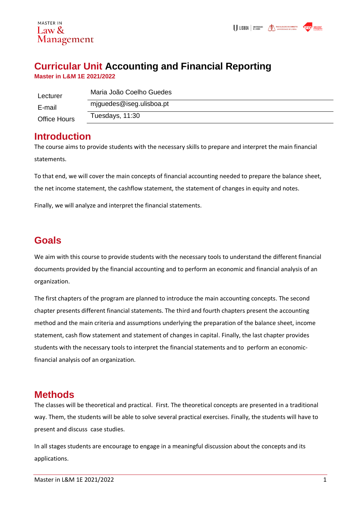#### MASTER IN Law  $\&$ Management

# **Curricular Unit Accounting and Financial Reporting**

**Master in L&M 1E 2021/2022**

| Lecturer            | Maria João Coelho Guedes |
|---------------------|--------------------------|
| E-mail              | miguedes@iseg.ulisboa.pt |
| <b>Office Hours</b> | Tuesdays, 11:30          |

### **Introduction**

The course aims to provide students with the necessary skills to prepare and interpret the main financial statements.

To that end, we will cover the main concepts of financial accounting needed to prepare the balance sheet, the net income statement, the cashflow statement, the statement of changes in equity and notes.

Finally, we will analyze and interpret the financial statements.

# **Goals**

We aim with this course to provide students with the necessary tools to understand the different financial documents provided by the financial accounting and to perform an economic and financial analysis of an organization.

The first chapters of the program are planned to introduce the main accounting concepts. The second chapter presents different financial statements. The third and fourth chapters present the accounting method and the main criteria and assumptions underlying the preparation of the balance sheet, income statement, cash flow statement and statement of changes in capital. Finally, the last chapter provides students with the necessary tools to interpret the financial statements and to perform an economicfinancial analysis oof an organization.

## **Methods**

The classes will be theoretical and practical. First. The theoretical concepts are presented in a traditional way. Them, the students will be able to solve several practical exercises. Finally, the students will have to present and discuss case studies.

In all stages students are encourage to engage in a meaningful discussion about the concepts and its applications.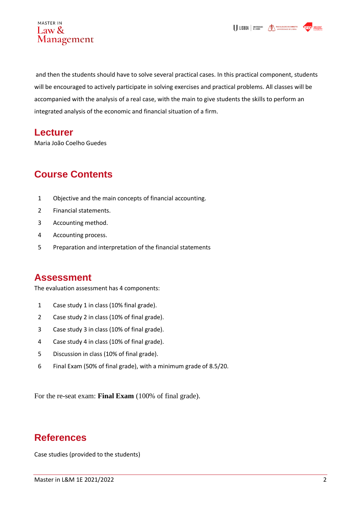



and then the students should have to solve several practical cases. In this practical component, students will be encouraged to actively participate in solving exercises and practical problems. All classes will be accompanied with the analysis of a real case, with the main to give students the skills to perform an integrated analysis of the economic and financial situation of a firm.

#### **Lecturer**

Maria João Coelho Guedes

## **Course Contents**

- 1 Objective and the main concepts of financial accounting.
- 2 Financial statements.
- 3 Accounting method.
- 4 Accounting process.
- 5 Preparation and interpretation of the financial statements

#### **Assessment**

The evaluation assessment has 4 components:

- 1 Case study 1 in class (10% final grade).
- 2 Case study 2 in class (10% of final grade).
- 3 Case study 3 in class (10% of final grade).
- 4 Case study 4 in class (10% of final grade).
- 5 Discussion in class (10% of final grade).
- 6 Final Exam (50% of final grade), with a minimum grade of 8.5/20.

For the re-seat exam: **Final Exam** (100% of final grade).

#### **References**

Case studies (provided to the students)